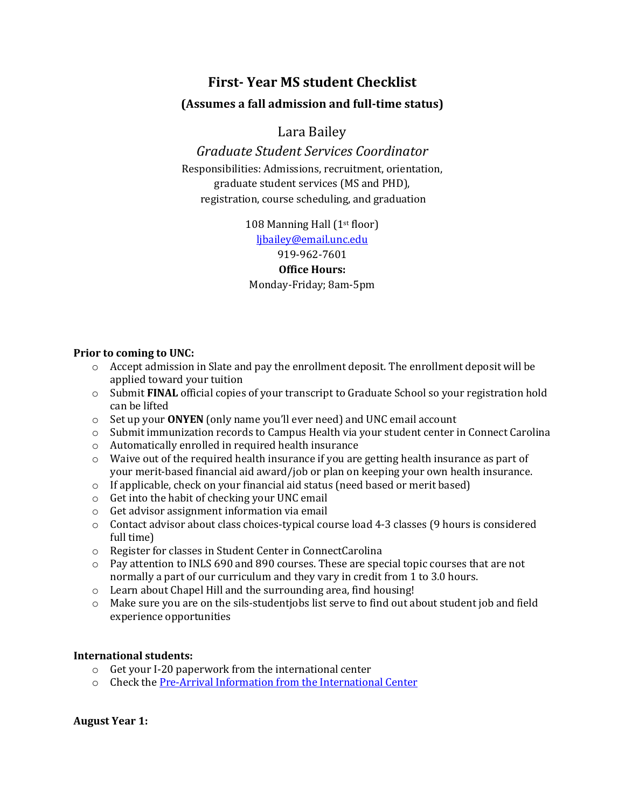# **First- Year MS student Checklist**

## **(Assumes a fall admission and full-time status)**

# Lara Bailey

*Graduate Student Services Coordinator* Responsibilities: Admissions, recruitment, orientation, graduate student services (MS and PHD), registration, course scheduling, and graduation

> 108 Manning Hall (1st floor) [ljbailey@email.unc.edu](mailto:ljbailey@email.unc.edu) 919-962-7601 **Office Hours:** Monday-Friday; 8am-5pm

#### **Prior to coming to UNC:**

- $\circ$  Accept admission in Slate and pay the enrollment deposit. The enrollment deposit will be applied toward your tuition
- o Submit **FINAL** official copies of your transcript to Graduate School so your registration hold can be lifted
- o Set up your **ONYEN** (only name you'll ever need) and UNC email account
- o Submit immunization records to Campus Health via your student center in Connect Carolina
- o Automatically enrolled in required health insurance
- $\circ$  Waive out of the required health insurance if you are getting health insurance as part of your merit-based financial aid award/job or plan on keeping your own health insurance.
- o If applicable, check on your financial aid status (need based or merit based)
- o Get into the habit of checking your UNC email
- o Get advisor assignment information via email
- o Contact advisor about class choices-typical course load 4-3 classes (9 hours is considered full time)
- o Register for classes in Student Center in ConnectCarolina
- o Pay attention to INLS 690 and 890 courses. These are special topic courses that are not normally a part of our curriculum and they vary in credit from 1 to 3.0 hours.
- o Learn about Chapel Hill and the surrounding area, find housing!
- $\circ$  Make sure you are on the sils-studentiobs list serve to find out about student job and field experience opportunities

## **International students:**

- o Get your I-20 paperwork from the international center
- o Check th[e Pre-Arrival Information from the International Center](http://oisss.unc.edu/students/newstudents/prearrive.html)

**August Year 1:**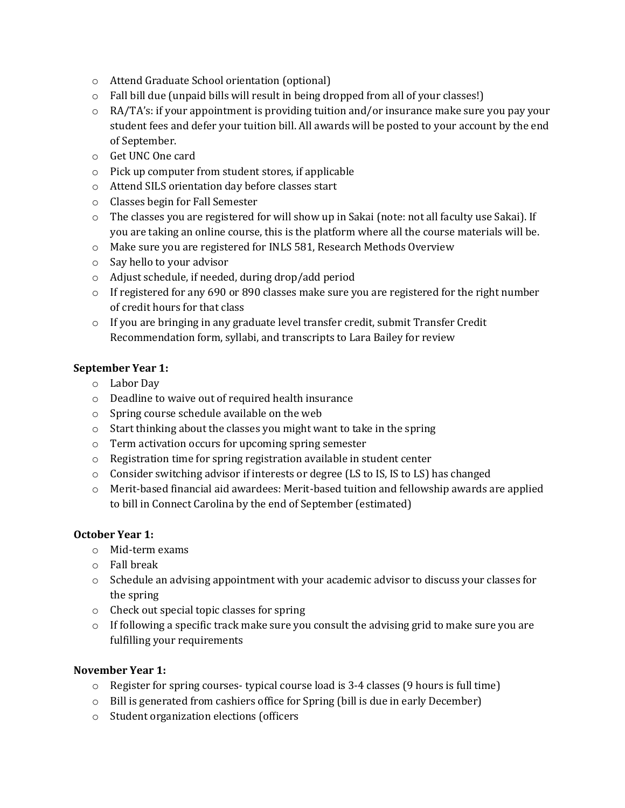- o Attend Graduate School orientation (optional)
- o Fall bill due (unpaid bills will result in being dropped from all of your classes!)
- o RA/TA's: if your appointment is providing tuition and/or insurance make sure you pay your student fees and defer your tuition bill. All awards will be posted to your account by the end of September.
- o Get UNC One card
- o Pick up computer from student stores, if applicable
- o Attend SILS orientation day before classes start
- o Classes begin for Fall Semester
- o The classes you are registered for will show up in Sakai (note: not all faculty use Sakai). If you are taking an online course, this is the platform where all the course materials will be.
- o Make sure you are registered for INLS 581, Research Methods Overview
- o Say hello to your advisor
- o Adjust schedule, if needed, during drop/add period
- $\circ$  If registered for any 690 or 890 classes make sure you are registered for the right number of credit hours for that class
- $\circ$  If you are bringing in any graduate level transfer credit, submit Transfer Credit Recommendation form, syllabi, and transcripts to Lara Bailey for review

## **September Year 1:**

- o Labor Day
- o Deadline to waive out of required health insurance
- o Spring course schedule available on the web
- o Start thinking about the classes you might want to take in the spring
- o Term activation occurs for upcoming spring semester
- o Registration time for spring registration available in student center
- $\circ$  Consider switching advisor if interests or degree (LS to IS, IS to LS) has changed
- o Merit-based financial aid awardees: Merit-based tuition and fellowship awards are applied to bill in Connect Carolina by the end of September (estimated)

## **October Year 1:**

- o Mid-term exams
- o Fall break
- o Schedule an advising appointment with your academic advisor to discuss your classes for the spring
- o Check out special topic classes for spring
- $\circ$  If following a specific track make sure you consult the advising grid to make sure you are fulfilling your requirements

## **November Year 1:**

- $\circ$  Register for spring courses- typical course load is 3-4 classes (9 hours is full time)
- o Bill is generated from cashiers office for Spring (bill is due in early December)
- o Student organization elections (officers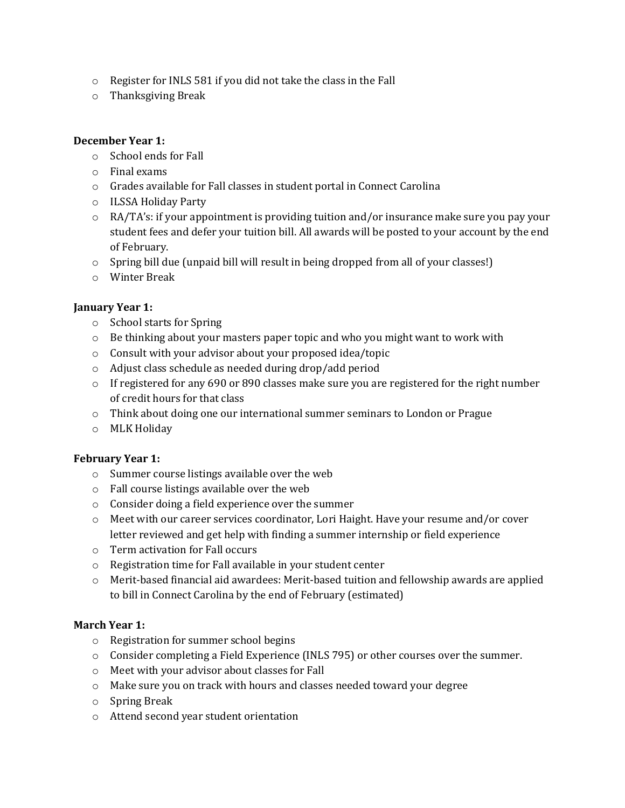- o Register for INLS 581 if you did not take the class in the Fall
- o Thanksgiving Break

## **December Year 1:**

- o School ends for Fall
- o Final exams
- o Grades available for Fall classes in student portal in Connect Carolina
- o ILSSA Holiday Party
- o RA/TA's: if your appointment is providing tuition and/or insurance make sure you pay your student fees and defer your tuition bill. All awards will be posted to your account by the end of February.
- $\circ$  Spring bill due (unpaid bill will result in being dropped from all of your classes!)
- o Winter Break

#### **January Year 1:**

- o School starts for Spring
- $\circ$  Be thinking about your masters paper topic and who you might want to work with
- o Consult with your advisor about your proposed idea/topic
- o Adjust class schedule as needed during drop/add period
- $\circ$  If registered for any 690 or 890 classes make sure you are registered for the right number of credit hours for that class
- o Think about doing one our international summer seminars to London or Prague
- o MLK Holiday

#### **February Year 1:**

- o Summer course listings available over the web
- o Fall course listings available over the web
- o Consider doing a field experience over the summer
- $\circ$  Meet with our career services coordinator, Lori Haight. Have your resume and/or cover letter reviewed and get help with finding a summer internship or field experience
- o Term activation for Fall occurs
- o Registration time for Fall available in your student center
- o Merit-based financial aid awardees: Merit-based tuition and fellowship awards are applied to bill in Connect Carolina by the end of February (estimated)

## **March Year 1:**

- o Registration for summer school begins
- o Consider completing a Field Experience (INLS 795) or other courses over the summer.
- o Meet with your advisor about classes for Fall
- o Make sure you on track with hours and classes needed toward your degree
- o Spring Break
- o Attend second year student orientation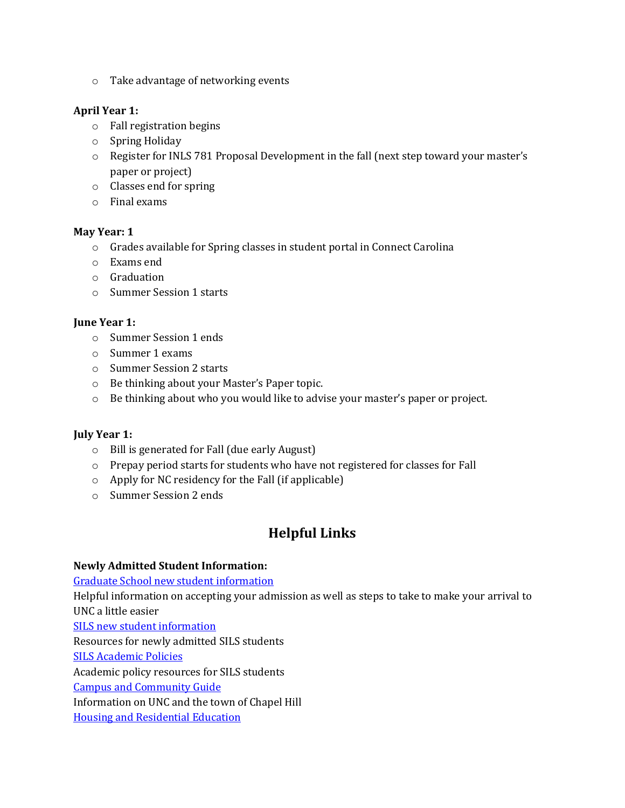o Take advantage of networking events

## **April Year 1:**

- o Fall registration begins
- o Spring Holiday
- o Register for INLS 781 Proposal Development in the fall (next step toward your master's paper or project)
- o Classes end for spring
- o Final exams

## **May Year: 1**

- o Grades available for Spring classes in student portal in Connect Carolina
- o Exams end
- o Graduation
- o Summer Session 1 starts

## **June Year 1:**

- o Summer Session 1 ends
- o Summer 1 exams
- o Summer Session 2 starts
- o Be thinking about your Master's Paper topic.
- o Be thinking about who you would like to advise your master's paper or project.

## **July Year 1:**

- o Bill is generated for Fall (due early August)
- o Prepay period starts for students who have not registered for classes for Fall
- o Apply for NC residency for the Fall (if applicable)
- o Summer Session 2 ends

# **Helpful Links**

## **Newly Admitted Student Information:**

[Graduate School new student information](http://gradschool.unc.edu/admissions/admittedstudents.html)

Helpful information on accepting your admission as well as steps to take to make your arrival to UNC a little easier

[SILS new student information](http://sils.unc.edu/current-students/for-new-students)

Resources for newly admitted SILS students

[SILS Academic Policies](https://sils.unc.edu/current-students/masters-students/policies)

Academic policy resources for SILS students

[Campus and Community Guide](http://gradschool.unc.edu/studentlife/guide/)

Information on UNC and the town of Chapel Hill

[Housing and Residential Education](http://housing.unc.edu/)